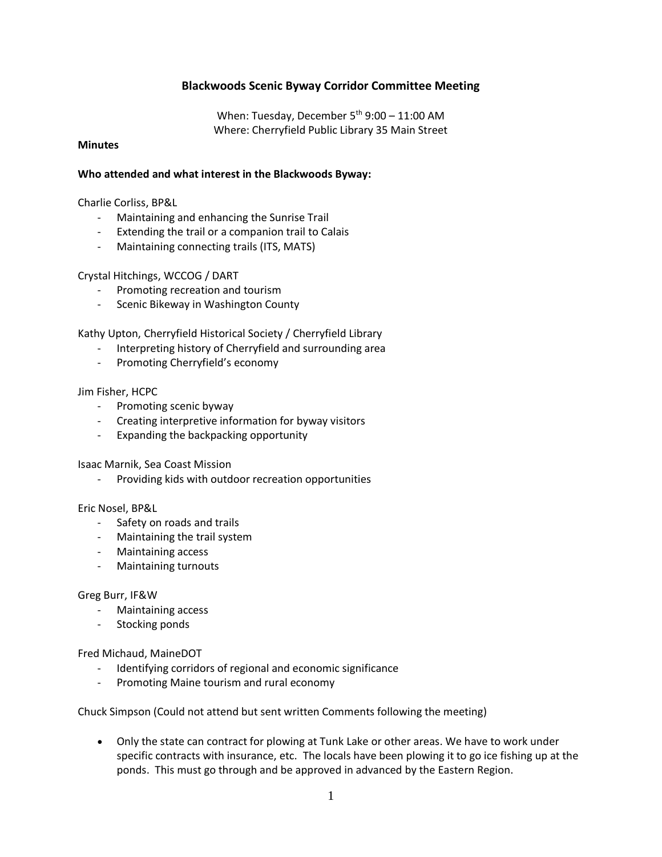## **Blackwoods Scenic Byway Corridor Committee Meeting**

When: Tuesday, December  $5<sup>th</sup>$  9:00 – 11:00 AM Where: Cherryfield Public Library 35 Main Street

### **Minutes**

### **Who attended and what interest in the Blackwoods Byway:**

Charlie Corliss, BP&L

- Maintaining and enhancing the Sunrise Trail
- Extending the trail or a companion trail to Calais
- Maintaining connecting trails (ITS, MATS)

#### Crystal Hitchings, WCCOG / DART

- Promoting recreation and tourism
- Scenic Bikeway in Washington County

Kathy Upton, Cherryfield Historical Society / Cherryfield Library

- Interpreting history of Cherryfield and surrounding area
- Promoting Cherryfield's economy

Jim Fisher, HCPC

- Promoting scenic byway
- Creating interpretive information for byway visitors
- Expanding the backpacking opportunity

Isaac Marnik, Sea Coast Mission

Providing kids with outdoor recreation opportunities

#### Eric Nosel, BP&L

- Safety on roads and trails
- Maintaining the trail system
- Maintaining access
- Maintaining turnouts

#### Greg Burr, IF&W

- Maintaining access
- Stocking ponds

Fred Michaud, MaineDOT

- Identifying corridors of regional and economic significance
- Promoting Maine tourism and rural economy

Chuck Simpson (Could not attend but sent written Comments following the meeting)

 Only the state can contract for plowing at Tunk Lake or other areas. We have to work under specific contracts with insurance, etc. The locals have been plowing it to go ice fishing up at the ponds. This must go through and be approved in advanced by the Eastern Region.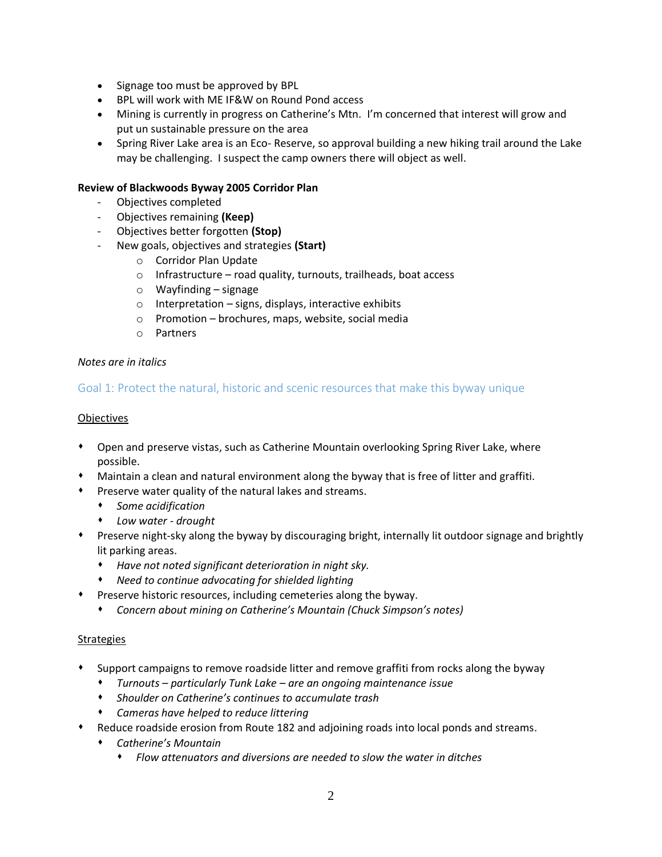- Signage too must be approved by BPL
- BPL will work with ME IF&W on Round Pond access
- Mining is currently in progress on Catherine's Mtn. I'm concerned that interest will grow and put un sustainable pressure on the area
- Spring River Lake area is an Eco- Reserve, so approval building a new hiking trail around the Lake may be challenging. I suspect the camp owners there will object as well.

### **Review of Blackwoods Byway 2005 Corridor Plan**

- Objectives completed
- Objectives remaining **(Keep)**
- Objectives better forgotten **(Stop)**
- New goals, objectives and strategies **(Start)**
	- o Corridor Plan Update
	- $\circ$  Infrastructure road quality, turnouts, trailheads, boat access
	- o Wayfinding signage
	- o Interpretation signs, displays, interactive exhibits
	- o Promotion brochures, maps, website, social media
	- o Partners

#### *Notes are in italics*

## Goal 1: Protect the natural, historic and scenic resources that make this byway unique

### Objectives

- Open and preserve vistas, such as Catherine Mountain overlooking Spring River Lake, where possible.
- Maintain a clean and natural environment along the byway that is free of litter and graffiti.
- Preserve water quality of the natural lakes and streams.
	- *Some acidification*
	- *Low water - drought*
- Preserve night-sky along the byway by discouraging bright, internally lit outdoor signage and brightly lit parking areas.
	- *Have not noted significant deterioration in night sky.*
	- *Need to continue advocating for shielded lighting*
- Preserve historic resources, including cemeteries along the byway.
	- *Concern about mining on Catherine's Mountain (Chuck Simpson's notes)*

### **Strategies**

- Support campaigns to remove roadside litter and remove graffiti from rocks along the byway
	- *Turnouts – particularly Tunk Lake – are an ongoing maintenance issue*
	- *Shoulder on Catherine's continues to accumulate trash*
	- *Cameras have helped to reduce littering*
- Reduce roadside erosion from Route 182 and adjoining roads into local ponds and streams.
	- *Catherine's Mountain*
		- *Flow attenuators and diversions are needed to slow the water in ditches*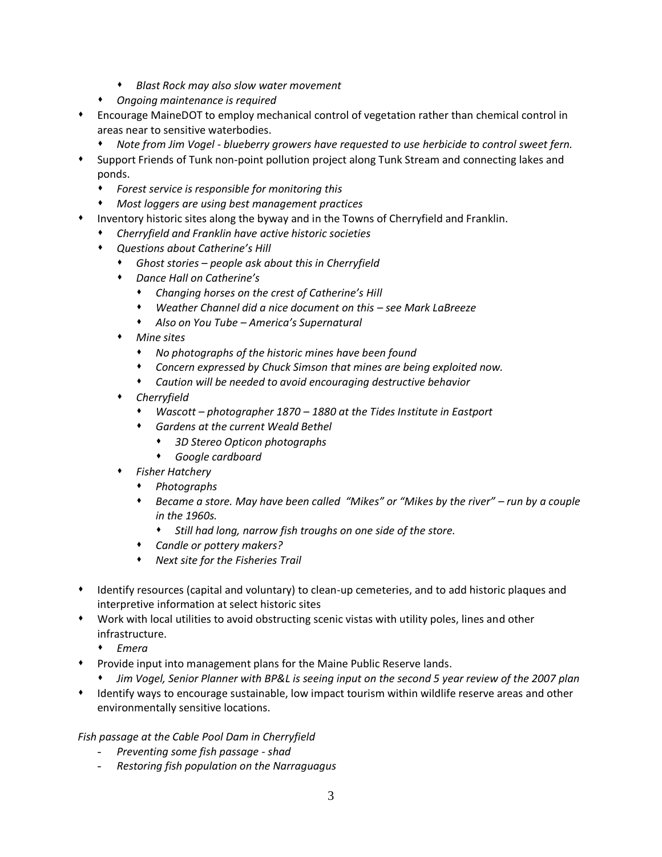- *Blast Rock may also slow water movement*
- *Ongoing maintenance is required*
- Encourage MaineDOT to employ mechanical control of vegetation rather than chemical control in areas near to sensitive waterbodies.
	- *Note from Jim Vogel - blueberry growers have requested to use herbicide to control sweet fern.*
- Support Friends of Tunk non-point pollution project along Tunk Stream and connecting lakes and ponds.
	- *Forest service is responsible for monitoring this*
	- *Most loggers are using best management practices*
- Inventory historic sites along the byway and in the Towns of Cherryfield and Franklin.
	- *Cherryfield and Franklin have active historic societies*
	- *Questions about Catherine's Hill*
		- *Ghost stories – people ask about this in Cherryfield*
		- *Dance Hall on Catherine's*
			- *Changing horses on the crest of Catherine's Hill*
			- *Weather Channel did a nice document on this – see Mark LaBreeze*
			- *Also on You Tube – America's Supernatural*
		- *Mine sites*
			- *No photographs of the historic mines have been found*
			- *Concern expressed by Chuck Simson that mines are being exploited now.*
			- *Caution will be needed to avoid encouraging destructive behavior*
		- *Cherryfield*
			- *Wascott – photographer 1870 – 1880 at the Tides Institute in Eastport*
			- *Gardens at the current Weald Bethel*
				- *3D Stereo Opticon photographs*
				- *Google cardboard*
		- *Fisher Hatchery*
			- *Photographs*
			- *Became a store. May have been called "Mikes" or "Mikes by the river" – run by a couple in the 1960s.* 
				- *Still had long, narrow fish troughs on one side of the store.*
			- *Candle or pottery makers?*
			- *Next site for the Fisheries Trail*
- Identify resources (capital and voluntary) to clean-up cemeteries, and to add historic plaques and interpretive information at select historic sites
- Work with local utilities to avoid obstructing scenic vistas with utility poles, lines and other infrastructure.
	- *Emera*
- Provide input into management plans for the Maine Public Reserve lands.
	- *Jim Vogel, Senior Planner with BP&L is seeing input on the second 5 year review of the 2007 plan*
- Identify ways to encourage sustainable, low impact tourism within wildlife reserve areas and other environmentally sensitive locations.

### *Fish passage at the Cable Pool Dam in Cherryfield*

- *Preventing some fish passage - shad*
- *Restoring fish population on the Narraguagus*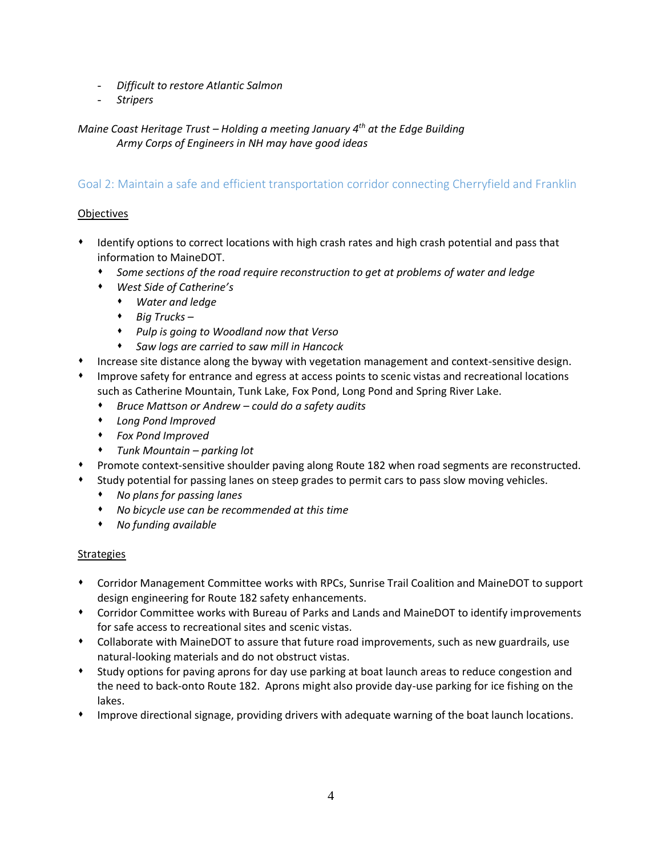- *Difficult to restore Atlantic Salmon*
- *Stripers*

*Maine Coast Heritage Trust – Holding a meeting January 4th at the Edge Building Army Corps of Engineers in NH may have good ideas* 

## Goal 2: Maintain a safe and efficient transportation corridor connecting Cherryfield and Franklin

## **Objectives**

- Identify options to correct locations with high crash rates and high crash potential and pass that information to MaineDOT.
	- *Some sections of the road require reconstruction to get at problems of water and ledge*
	- *West Side of Catherine's*
		- *Water and ledge*
		- *Big Trucks –*
		- *Pulp is going to Woodland now that Verso*
		- *Saw logs are carried to saw mill in Hancock*
- Increase site distance along the byway with vegetation management and context-sensitive design.
- Improve safety for entrance and egress at access points to scenic vistas and recreational locations such as Catherine Mountain, Tunk Lake, Fox Pond, Long Pond and Spring River Lake.
	- *Bruce Mattson or Andrew – could do a safety audits*
	- *Long Pond Improved*
	- *Fox Pond Improved*
	- *Tunk Mountain – parking lot*
- Promote context-sensitive shoulder paving along Route 182 when road segments are reconstructed.
- Study potential for passing lanes on steep grades to permit cars to pass slow moving vehicles.
	- *No plans for passing lanes*
	- *No bicycle use can be recommended at this time*
	- *No funding available*

### Strategies

- Corridor Management Committee works with RPCs, Sunrise Trail Coalition and MaineDOT to support design engineering for Route 182 safety enhancements.
- Corridor Committee works with Bureau of Parks and Lands and MaineDOT to identify improvements for safe access to recreational sites and scenic vistas.
- Collaborate with MaineDOT to assure that future road improvements, such as new guardrails, use natural-looking materials and do not obstruct vistas.
- Study options for paving aprons for day use parking at boat launch areas to reduce congestion and the need to back-onto Route 182. Aprons might also provide day-use parking for ice fishing on the lakes.
- Improve directional signage, providing drivers with adequate warning of the boat launch locations.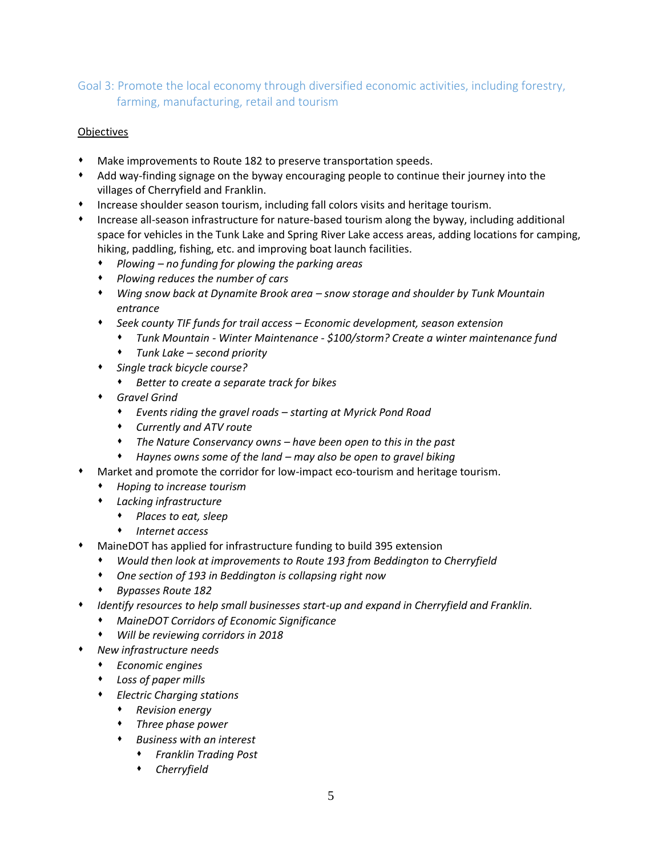# Goal 3: Promote the local economy through diversified economic activities, including forestry, farming, manufacturing, retail and tourism

## **Objectives**

- Make improvements to Route 182 to preserve transportation speeds.
- Add way-finding signage on the byway encouraging people to continue their journey into the villages of Cherryfield and Franklin.
- Increase shoulder season tourism, including fall colors visits and heritage tourism.
- Increase all-season infrastructure for nature-based tourism along the byway, including additional space for vehicles in the Tunk Lake and Spring River Lake access areas, adding locations for camping, hiking, paddling, fishing, etc. and improving boat launch facilities.
	- *Plowing – no funding for plowing the parking areas*
	- *Plowing reduces the number of cars*
	- *Wing snow back at Dynamite Brook area – snow storage and shoulder by Tunk Mountain entrance*
	- *Seek county TIF funds for trail access – Economic development, season extension*
		- *Tunk Mountain - Winter Maintenance - \$100/storm? Create a winter maintenance fund*
		- *Tunk Lake – second priority*
	- *Single track bicycle course?*
		- *Better to create a separate track for bikes*
	- *Gravel Grind*
		- *Events riding the gravel roads – starting at Myrick Pond Road*
		- *Currently and ATV route*
		- *The Nature Conservancy owns – have been open to this in the past*
		- *Haynes owns some of the land – may also be open to gravel biking*
- Market and promote the corridor for low-impact eco-tourism and heritage tourism.
	- *Hoping to increase tourism*
	- *Lacking infrastructure*
		- *Places to eat, sleep*
		- *Internet access*
- MaineDOT has applied for infrastructure funding to build 395 extension
	- *Would then look at improvements to Route 193 from Beddington to Cherryfield*
	- *One section of 193 in Beddington is collapsing right now*
	- *Bypasses Route 182*
- *Identify resources to help small businesses start-up and expand in Cherryfield and Franklin.*
	- *MaineDOT Corridors of Economic Significance*
	- *Will be reviewing corridors in 2018*
- *New infrastructure needs*
	- *Economic engines*
	- *Loss of paper mills*
	- *Electric Charging stations*
		- *Revision energy*
		- *Three phase power*
		- *Business with an interest* 
			- *Franklin Trading Post*
			- *Cherryfield*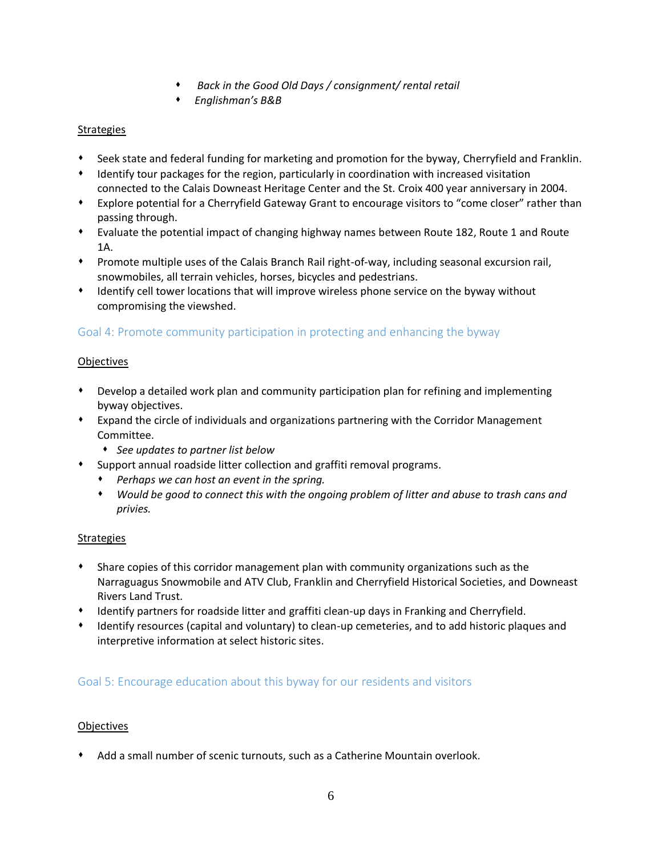- *Back in the Good Old Days / consignment/ rental retail*
- *Englishman's B&B*

## **Strategies**

- Seek state and federal funding for marketing and promotion for the byway, Cherryfield and Franklin.
- Identify tour packages for the region, particularly in coordination with increased visitation connected to the Calais Downeast Heritage Center and the St. Croix 400 year anniversary in 2004.
- Explore potential for a Cherryfield Gateway Grant to encourage visitors to "come closer" rather than passing through.
- Evaluate the potential impact of changing highway names between Route 182, Route 1 and Route 1A.
- Promote multiple uses of the Calais Branch Rail right-of-way, including seasonal excursion rail, snowmobiles, all terrain vehicles, horses, bicycles and pedestrians.
- Identify cell tower locations that will improve wireless phone service on the byway without compromising the viewshed.

# Goal 4: Promote community participation in protecting and enhancing the byway

## **Objectives**

- Develop a detailed work plan and community participation plan for refining and implementing byway objectives.
- Expand the circle of individuals and organizations partnering with the Corridor Management Committee.
	- *See updates to partner list below*
- Support annual roadside litter collection and graffiti removal programs.
	- *Perhaps we can host an event in the spring.*
	- *Would be good to connect this with the ongoing problem of litter and abuse to trash cans and privies.*

## **Strategies**

- Share copies of this corridor management plan with community organizations such as the Narraguagus Snowmobile and ATV Club, Franklin and Cherryfield Historical Societies, and Downeast Rivers Land Trust.
- Identify partners for roadside litter and graffiti clean-up days in Franking and Cherryfield.
- Identify resources (capital and voluntary) to clean-up cemeteries, and to add historic plaques and interpretive information at select historic sites.

# Goal 5: Encourage education about this byway for our residents and visitors

### **Objectives**

Add a small number of scenic turnouts, such as a Catherine Mountain overlook.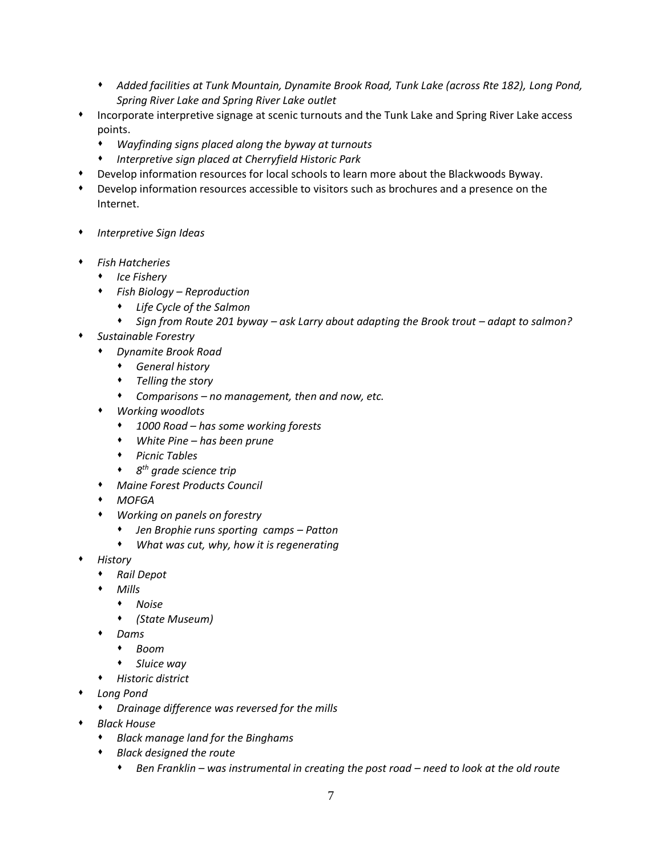- *Added facilities at Tunk Mountain, Dynamite Brook Road, Tunk Lake (across Rte 182), Long Pond, Spring River Lake and Spring River Lake outlet*
- Incorporate interpretive signage at scenic turnouts and the Tunk Lake and Spring River Lake access points.
	- *Wayfinding signs placed along the byway at turnouts*
	- *Interpretive sign placed at Cherryfield Historic Park*
- Develop information resources for local schools to learn more about the Blackwoods Byway.
- Develop information resources accessible to visitors such as brochures and a presence on the Internet.
- *Interpretive Sign Ideas*
- *Fish Hatcheries*
	- *Ice Fishery*
	- *Fish Biology – Reproduction*
		- *Life Cycle of the Salmon*
		- **•** Sign from Route 201 byway ask Larry about adapting the Brook trout adapt to salmon?
- *Sustainable Forestry*
	- *Dynamite Brook Road*
		- *General history*
		- *Telling the story*
		- *Comparisons – no management, then and now, etc.*
	- *Working woodlots*
		- *1000 Road – has some working forests*
		- *White Pine – has been prune*
		- *Picnic Tables*
		- *8 th grade science trip*
	- *Maine Forest Products Council*
	- *MOFGA*
	- *Working on panels on forestry*
		- *Jen Brophie runs sporting camps – Patton*
		- *What was cut, why, how it is regenerating*
- *History*
	- *Rail Depot*
	- *Mills*
	- *Noise*
		- *(State Museum)*
	- *Dams*
		- *Boom*
		- *Sluice way*
	- *Historic district*
- *Long Pond*
	- *Drainage difference was reversed for the mills*
- *Black House*
	- *Black manage land for the Binghams*
	- *Black designed the route*
		- *Ben Franklin – was instrumental in creating the post road – need to look at the old route*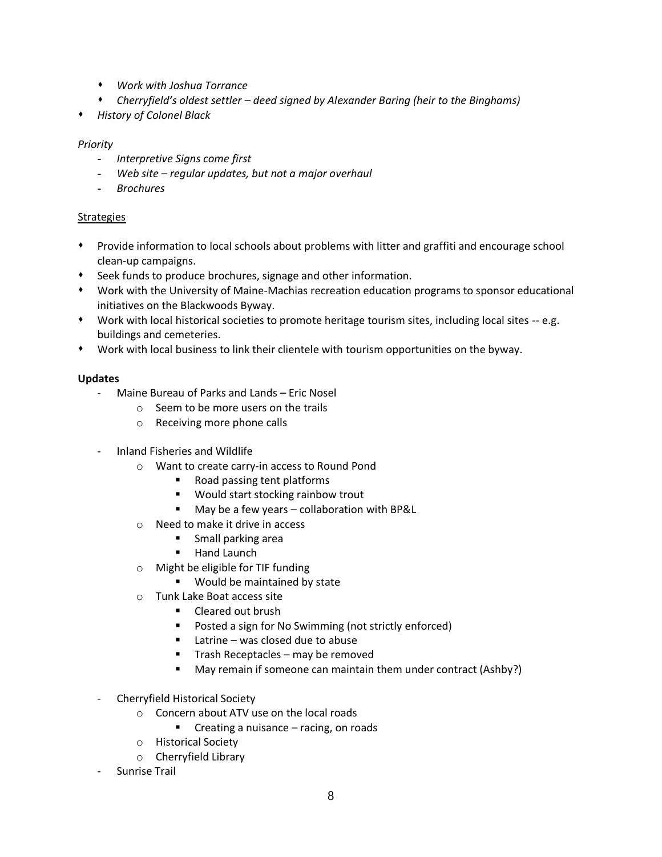- *Work with Joshua Torrance*
- *Cherryfield's oldest settler – deed signed by Alexander Baring (heir to the Binghams)*
- *History of Colonel Black*

### *Priority*

- *Interpretive Signs come first*
- *Web site – regular updates, but not a major overhaul*
- *Brochures*

### **Strategies**

- Provide information to local schools about problems with litter and graffiti and encourage school clean-up campaigns.
- Seek funds to produce brochures, signage and other information.
- Work with the University of Maine-Machias recreation education programs to sponsor educational initiatives on the Blackwoods Byway.
- Work with local historical societies to promote heritage tourism sites, including local sites -- e.g. buildings and cemeteries.
- Work with local business to link their clientele with tourism opportunities on the byway.

### **Updates**

- Maine Bureau of Parks and Lands Eric Nosel
	- $\circ$  Seem to be more users on the trails
	- o Receiving more phone calls
- Inland Fisheries and Wildlife
	- o Want to create carry-in access to Round Pond
		- Road passing tent platforms
		- Would start stocking rainbow trout
		- May be a few years collaboration with BP&L
	- o Need to make it drive in access
		- **Small parking area**
		- **Hand Launch**
	- o Might be eligible for TIF funding
		- **Would be maintained by state**
	- o Tunk Lake Boat access site
		- **Cleared out brush**
		- **Posted a sign for No Swimming (not strictly enforced)**
		- $\blacksquare$  Latrine was closed due to abuse
		- Trash Receptacles may be removed
		- May remain if someone can maintain them under contract (Ashby?)
- Cherryfield Historical Society
	- o Concern about ATV use on the local roads
		- Creating a nuisance racing, on roads
	- o Historical Society
	- o Cherryfield Library
- Sunrise Trail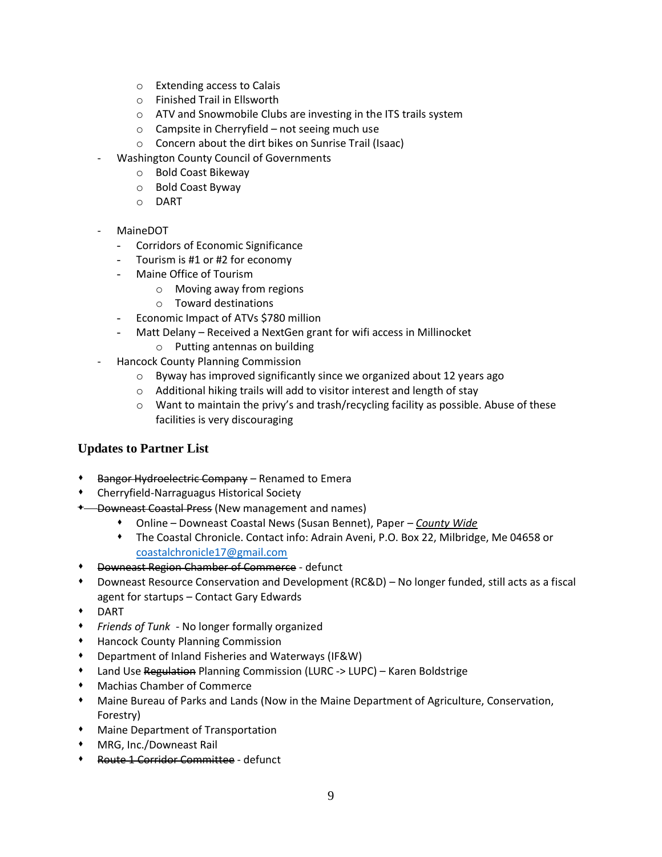- o Extending access to Calais
- o Finished Trail in Ellsworth
- o ATV and Snowmobile Clubs are investing in the ITS trails system
- o Campsite in Cherryfield not seeing much use
- o Concern about the dirt bikes on Sunrise Trail (Isaac)
- Washington County Council of Governments
	- o Bold Coast Bikeway
	- o Bold Coast Byway
	- o DART
- MaineDOT
	- Corridors of Economic Significance
	- Tourism is #1 or #2 for economy
	- Maine Office of Tourism
		- o Moving away from regions
		- o Toward destinations
	- Economic Impact of ATVs \$780 million
	- Matt Delany Received a NextGen grant for wifi access in Millinocket
		- o Putting antennas on building
- Hancock County Planning Commission
	- o Byway has improved significantly since we organized about 12 years ago
	- o Additional hiking trails will add to visitor interest and length of stay
	- $\circ$  Want to maintain the privy's and trash/recycling facility as possible. Abuse of these facilities is very discouraging

# **Updates to Partner List**

- Bangor Hydroelectric Company Renamed to Emera
- Cherryfield-Narraguagus Historical Society
- \* Downeast Coastal Press (New management and names)
	- Online Downeast Coastal News (Susan Bennet), Paper *County Wide*
	- The Coastal Chronicle. Contact info: Adrain Aveni, P.O. Box 22, Milbridge, Me 04658 or [coastalchronicle17@gmail.com](mailto:coastalchronicle17@gmail.com)
- Downeast Region Chamber of Commerce defunct
- Downeast Resource Conservation and Development (RC&D) No longer funded, still acts as a fiscal agent for startups – Contact Gary Edwards
- DART
- *Friends of Tunk* No longer formally organized
- Hancock County Planning Commission
- Department of Inland Fisheries and Waterways (IF&W)
- **\*** Land Use Regulation Planning Commission (LURC -> LUPC) Karen Boldstrige
- Machias Chamber of Commerce
- Maine Bureau of Parks and Lands (Now in the Maine Department of Agriculture, Conservation, Forestry)
- Maine Department of Transportation
- MRG, Inc./Downeast Rail
- Route 1 Corridor Committee defunct